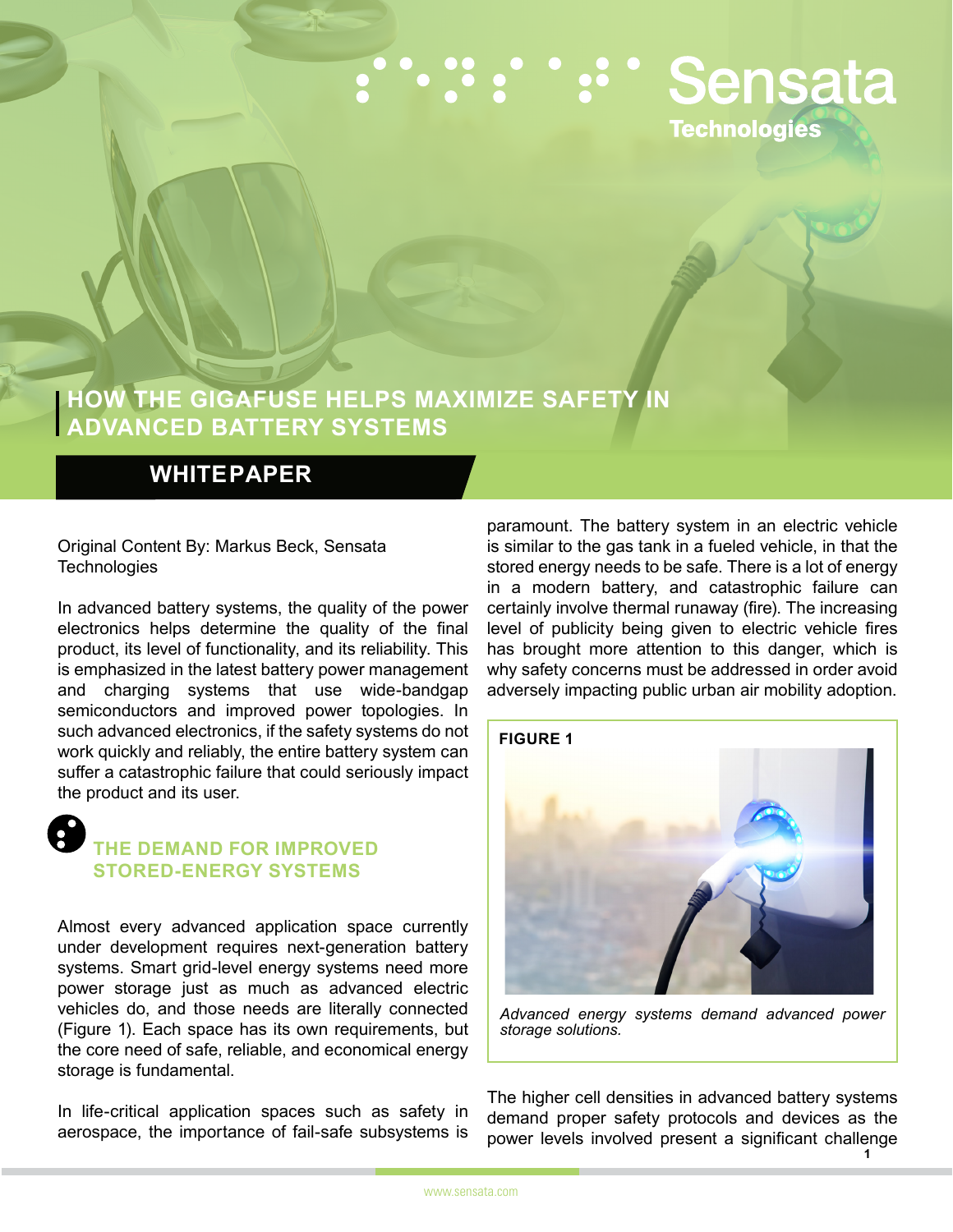# :":":" " Sensata **Technologies**

### **HOW THE GIGAFUSE HELPS MAXIMIZE SAFETY IN ADVANCED BATTERY SYSTEMS**

#### **WHITE PAPER**

#### Original Content By: Markus Beck, Sensata **Technologies**

In advanced battery systems, the quality of the power electronics helps determine the quality of the final product, its level of functionality, and its reliability. This is emphasized in the latest battery power management and charging systems that use wide-bandgap semiconductors and improved power topologies. In such advanced electronics, if the safety systems do not work quickly and reliably, the entire battery system can suffer a catastrophic failure that could seriously impact the product and its user.

#### **THE DEMAND FOR IMPROVED STORED-ENERGY SYSTEMS**

Almost every advanced application space currently under development requires next-generation battery systems. Smart grid-level energy systems need more power storage just as much as advanced electric vehicles do, and those needs are literally connected (Figure 1). Each space has its own requirements, but the core need of safe, reliable, and economical energy storage is fundamental.

In life-critical application spaces such as safety in aerospace, the importance of fail-safe subsystems is

paramount. The battery system in an electric vehicle is similar to the gas tank in a fueled vehicle, in that the stored energy needs to be safe. There is a lot of energy in a modern battery, and catastrophic failure can certainly involve thermal runaway (fire). The increasing level of publicity being given to electric vehicle fires has brought more attention to this danger, which is why safety concerns must be addressed in order avoid adversely impacting public urban air mobility adoption.



*Advanced energy systems demand advanced power storage solutions.*

The higher cell densities in advanced battery systems demand proper safety protocols and devices as the power levels involved present a significant challenge **1**